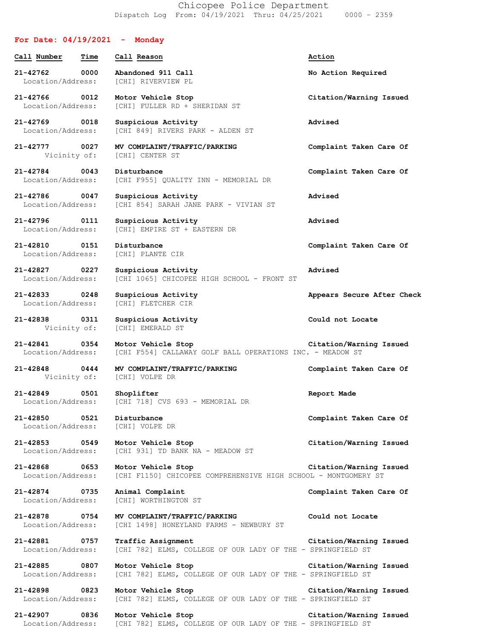Chicopee Police Department Dispatch Log From: 04/19/2021 Thru: 04/25/2021 0000 – 2359

| For Date: $04/19/2021$ - Monday                               |                                                                                      |                            |
|---------------------------------------------------------------|--------------------------------------------------------------------------------------|----------------------------|
| Call Number<br>Time                                           | Call Reason                                                                          | Action                     |
| 21-42762 0000<br>Location/Address:                            | Abandoned 911 Call<br>[CHI] RIVERVIEW PL                                             | No Action Required         |
| 0012<br>21-42766<br>Location/Address:                         | Motor Vehicle Stop<br>[CHI] FULLER RD + SHERIDAN ST                                  | Citation/Warning Issued    |
| 21-42769 0018<br>Location/Address:                            | Suspicious Activity<br>[CHI 849] RIVERS PARK - ALDEN ST                              | Advised                    |
| 21-42777 0027<br>Vicinity of:                                 | MV COMPLAINT/TRAFFIC/PARKING<br>[CHI] CENTER ST                                      | Complaint Taken Care Of    |
| 21-42784 0043<br>Location/Address:                            | Disturbance<br>[CHI F955] QUALITY INN - MEMORIAL DR                                  | Complaint Taken Care Of    |
| 21-42786 0047<br>Location/Address:                            | Suspicious Activity<br>[CHI 854] SARAH JANE PARK - VIVIAN ST                         | Advised                    |
| 21-42796 0111<br>Location/Address:                            | Suspicious Activity<br>[CHI] EMPIRE ST + EASTERN DR                                  | Advised                    |
| 21-42810 0151<br>Location/Address:                            | Disturbance<br>[CHI] PLANTE CIR                                                      | Complaint Taken Care Of    |
| 21-42827 0227<br>Location/Address:                            | Suspicious Activity<br>[CHI 1065] CHICOPEE HIGH SCHOOL - FRONT ST                    | Advised                    |
| 21-42833 0248<br>Location/Address:                            | Suspicious Activity<br>[CHI] FLETCHER CIR                                            | Appears Secure After Check |
| 21-42838<br>0311<br>Vicinity of:                              | Suspicious Activity<br>[CHI] EMERALD ST                                              | Could not Locate           |
| 21-42841 0354<br>Location/Address:                            | Motor Vehicle Stop<br>[CHI F554] CALLAWAY GOLF BALL OPERATIONS INC. - MEADOW ST      | Citation/Warning Issued    |
| $21 - 42848$<br>0444<br>Vicinity of: [CHI] VOLPE DR           | MV COMPLAINT/TRAFFIC/PARKING                                                         | Complaint Taken Care Of    |
| 21-42849 0501 Shoplifter                                      | Location/Address: [CHI 718] CVS 693 - MEMORIAL DR                                    | Report Made                |
| 21-42850 0521 Disturbance<br>Location/Address: [CHI] VOLPE DR |                                                                                      | Complaint Taken Care Of    |
| 21-42853 0549<br>Location/Address:                            | Motor Vehicle Stop<br>[CHI 931] TD BANK NA - MEADOW ST                               | Citation/Warning Issued    |
| 21-42868 0653<br>Location/Address:                            | Motor Vehicle Stop<br>[CHI F1150] CHICOPEE COMPREHENSIVE HIGH SCHOOL - MONTGOMERY ST | Citation/Warning Issued    |
| 21-42874 0735                                                 | Animal Complaint<br>Location/Address: [CHI] WORTHINGTON ST                           | Complaint Taken Care Of    |
| 21-42878<br>0754<br>Location/Address:                         | MV COMPLAINT/TRAFFIC/PARKING<br>[CHI 1498] HONEYLAND FARMS - NEWBURY ST              | Could not Locate           |
| 21-42881 0757<br>Location/Address:                            | Traffic Assignment<br>[CHI 782] ELMS, COLLEGE OF OUR LADY OF THE - SPRINGFIELD ST    | Citation/Warning Issued    |
| 21-42885 0807<br>Location/Address:                            | Motor Vehicle Stop<br>[CHI 782] ELMS, COLLEGE OF OUR LADY OF THE - SPRINGFIELD ST    | Citation/Warning Issued    |
| 21-42898 0823<br>Location/Address:                            | Motor Vehicle Stop<br>[CHI 782] ELMS, COLLEGE OF OUR LADY OF THE - SPRINGFIELD ST    | Citation/Warning Issued    |
| 21-42907<br>0836<br>Location/Address:                         | Motor Vehicle Stop<br>[CHI 782] ELMS, COLLEGE OF OUR LADY OF THE - SPRINGFIELD ST    | Citation/Warning Issued    |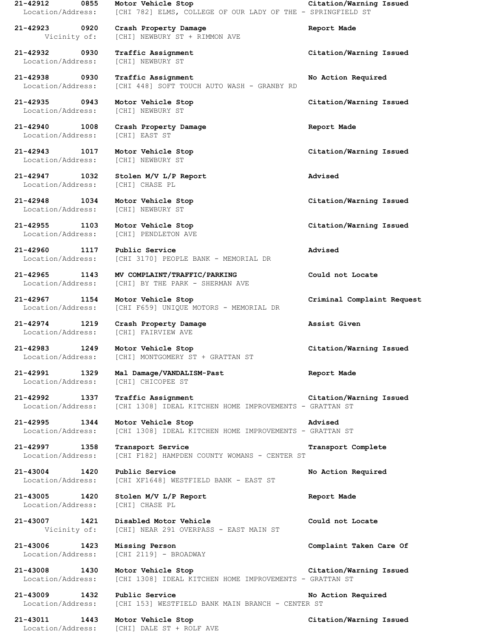**21-42923 0920 Crash Property Damage Report Made** Vicinity of: [CHI] NEWBURY ST + RIMMON AVE

Location/Address: [CHI] NEWBURY ST

**21-42938 0930 Traffic Assignment No Action Required** Location/Address: [CHI 448] SOFT TOUCH AUTO WASH - GRANBY RD

Location/Address: [CHI] NEWBURY ST

**21-42940 1008 Crash Property Damage Report Made** Location/Address: [CHI] EAST ST

**21-42943 1017 Motor Vehicle Stop Citation/Warning Issued** Location/Address: [CHI] NEWBURY ST

**21-42947 1032 Stolen M/V L/P Report Advised** Location/Address: [CHI] CHASE PL

**21-42948 1034 Motor Vehicle Stop Citation/Warning Issued** Location/Address: [CHI] NEWBURY ST

**21-42955 1103 Motor Vehicle Stop Citation/Warning Issued**

Location/Address: [CHI] PENDLETON AVE

**21-42960 1117 Public Service Advised** Location/Address: [CHI 3170] PEOPLE BANK - MEMORIAL DR

**21-42965 1143 MV COMPLAINT/TRAFFIC/PARKING Could not Locate** Location/Address: [CHI] BY THE PARK - SHERMAN AVE

**21-42967 1154 Motor Vehicle Stop Criminal Complaint Request** Location/Address: [CHI F659] UNIQUE MOTORS - MEMORIAL DR

**21-42974 1219 Crash Property Damage Assist Given** Location/Address: [CHI] FAIRVIEW AVE

**21-42983 1249 Motor Vehicle Stop Citation/Warning Issued** Location/Address: [CHI] MONTGOMERY ST + GRATTAN ST

**21-42991 1329 Mal Damage/VANDALISM-Past Report Made** Location/Address: [CHI] CHICOPEE ST

**21-42992 1337 Traffic Assignment Citation/Warning Issued** Location/Address: [CHI 1308] IDEAL KITCHEN HOME IMPROVEMENTS - GRATTAN ST

**21-42995 1344 Motor Vehicle Stop Advised** Location/Address: [CHI 1308] IDEAL KITCHEN HOME IMPROVEMENTS - GRATTAN ST

**21-42997 1358 Transport Service Transport Complete** Location/Address: [CHI F182] HAMPDEN COUNTY WOMANS - CENTER ST

**21-43004 1420 Public Service No Action Required** Location/Address: [CHI XF1648] WESTFIELD BANK - EAST ST

**21-43005 1420 Stolen M/V L/P Report Report Made** Location/Address: [CHI] CHASE PL

**21-43007 1421 Disabled Motor Vehicle Could not Locate** Vicinity of: [CHI] NEAR 291 OVERPASS - EAST MAIN ST

Location/Address: [CHI 2119] - BROADWAY

**21-43008 1430 Motor Vehicle Stop Citation/Warning Issued** Location/Address: [CHI 1308] IDEAL KITCHEN HOME IMPROVEMENTS - GRATTAN ST

**21-43009 1432 Public Service No Action Required** Location/Address: [CHI 153] WESTFIELD BANK MAIN BRANCH - CENTER ST

Location/Address: [CHI] DALE ST + ROLF AVE

**21-42912 0855 Motor Vehicle Stop Citation/Warning Issued** Location/Address: [CHI 782] ELMS, COLLEGE OF OUR LADY OF THE - SPRINGFIELD ST

**21-42932 0930 Traffic Assignment Citation/Warning Issued**

**21-42935 0943 Motor Vehicle Stop Citation/Warning Issued**

**21-43006 1423 Missing Person Complaint Taken Care Of**

**21-43011 1443 Motor Vehicle Stop Citation/Warning Issued**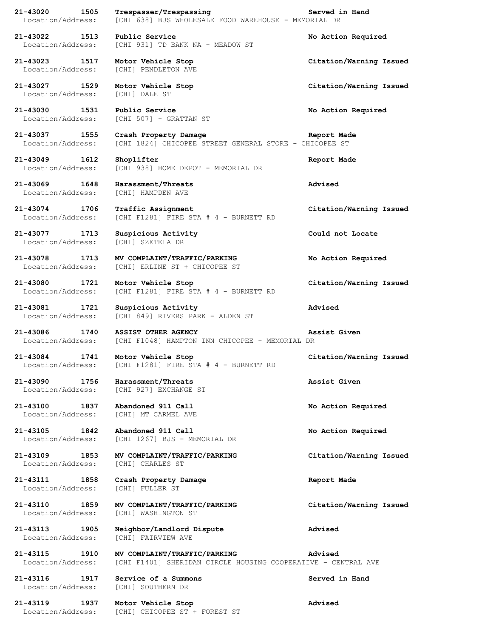**21-43020 1505 Trespasser/Trespassing Served in Hand** Location/Address: [CHI 638] BJS WHOLESALE FOOD WAREHOUSE - MEMORIAL DR **21-43022 1513 Public Service No Action Required** Location/Address: [CHI 931] TD BANK NA - MEADOW ST **21-43023 1517 Motor Vehicle Stop Citation/Warning Issued** Location/Address: [CHI] PENDLETON AVE **21-43027 1529 Motor Vehicle Stop Citation/Warning Issued** Location/Address: [CHI] DALE ST **21-43030 1531 Public Service No Action Required** Location/Address: [CHI 507] - GRATTAN ST **21-43037 1555 Crash Property Damage Report Made** Location/Address: [CHI 1824] CHICOPEE STREET GENERAL STORE - CHICOPEE ST **21-43049 1612 Shoplifter Report Made** Location/Address: [CHI 938] HOME DEPOT - MEMORIAL DR **21-43069 1648 Harassment/Threats Advised** Location/Address: [CHI] HAMPDEN AVE **21-43074 1706 Traffic Assignment Citation/Warning Issued** Location/Address: [CHI F1281] FIRE STA # 4 - BURNETT RD **21-43077 1713 Suspicious Activity Could not Locate** Location/Address: [CHI] SZETELA DR **21-43078 1713 MV COMPLAINT/TRAFFIC/PARKING No Action Required** Location/Address: [CHI] ERLINE ST + CHICOPEE ST **21-43080 1721 Motor Vehicle Stop Citation/Warning Issued** Location/Address: [CHI F1281] FIRE STA # 4 - BURNETT RD **21-43081 1721 Suspicious Activity Advised** Location/Address: [CHI 849] RIVERS PARK - ALDEN ST **21-43086 1740 ASSIST OTHER AGENCY Assist Given** Location/Address: [CHI F1048] HAMPTON INN CHICOPEE - MEMORIAL DR **21-43084 1741 Motor Vehicle Stop Citation/Warning Issued** Location/Address: [CHI F1281] FIRE STA # 4 - BURNETT RD **21-43090 1756 Harassment/Threats Assist Given** Location/Address: [CHI 927] EXCHANGE ST **21-43100 1837 Abandoned 911 Call No Action Required** Location/Address: [CHI] MT CARMEL AVE **21-43105 1842 Abandoned 911 Call No Action Required** Location/Address: [CHI 1267] BJS - MEMORIAL DR **21-43109 1853 MV COMPLAINT/TRAFFIC/PARKING Citation/Warning Issued** Location/Address: [CHI] CHARLES ST **21-43111 1858 Crash Property Damage Report Made** Location/Address: [CHI] FULLER ST **21-43110 1859 MV COMPLAINT/TRAFFIC/PARKING Citation/Warning Issued** Location/Address: [CHI] WASHINGTON ST **21-43113 1905 Neighbor/Landlord Dispute Advised** Location/Address: [CHI] FAIRVIEW AVE **21-43115 1910 MV COMPLAINT/TRAFFIC/PARKING Advised** Location/Address: [CHI F1401] SHERIDAN CIRCLE HOUSING COOPERATIVE - CENTRAL AVE **21-43116 1917 Service of a Summons Served in Hand** Location/Address: [CHI] SOUTHERN DR **21-43119 1937 Motor Vehicle Stop Advised** Location/Address: [CHI] CHICOPEE ST + FOREST ST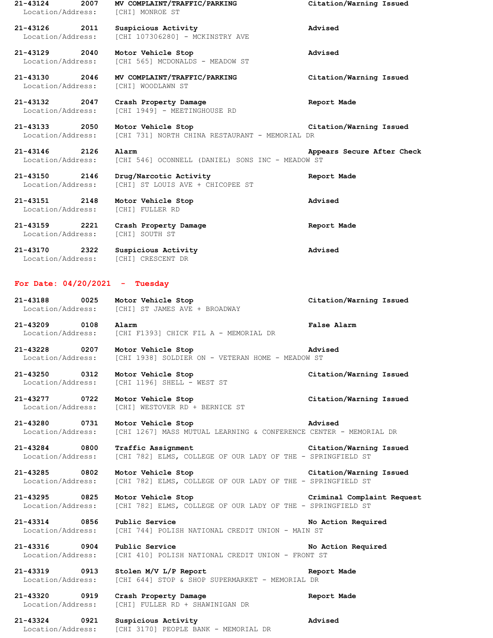| $21 - 43124$<br>2007<br>Location/Address: | MV COMPLAINT/TRAFFIC/PARKING<br>[CHI] MONROE ST                      | Citation/Warning Issued    |
|-------------------------------------------|----------------------------------------------------------------------|----------------------------|
| 21-43126 2011<br>Location/Address:        | Suspicious Activity<br>[CHI 107306280] - MCKINSTRY AVE               | Advised                    |
| 21-43129 2040<br>Location/Address:        | Motor Vehicle Stop<br>[CHI 565] MCDONALDS - MEADOW ST                | Advised                    |
| 21-43130 2046<br>Location/Address:        | MV COMPLAINT/TRAFFIC/PARKING<br>[CHI] WOODLAWN ST                    | Citation/Warning Issued    |
| 21-43132 2047<br>Location/Address:        | Crash Property Damage<br>[CHI 1949] - MEETINGHOUSE RD                | Report Made                |
| 21-43133 2050<br>Location/Address:        | Motor Vehicle Stop<br>[CHI 731] NORTH CHINA RESTAURANT - MEMORIAL DR | Citation/Warning Issued    |
| 21-43146 2126<br>Location/Address:        | Alarm<br>[CHI 546] OCONNELL (DANIEL) SONS INC - MEADOW ST            | Appears Secure After Check |
| 21-43150 2146<br>Location/Address:        | Drug/Narcotic Activity<br>[CHI] ST LOUIS AVE + CHICOPEE ST           | Report Made                |
| 21-43151 2148<br>Location/Address:        | Motor Vehicle Stop<br>[CHI] FULLER RD                                | Advised                    |
| 21-43159 2221<br>Location/Address:        | Crash Property Damage<br>[CHI] SOUTH ST                              | Report Made                |
| 21-43170 2322<br>Location/Address:        | Suspicious Activity<br>[CHI] CRESCENT DR                             | Advised                    |

## **For Date: 04/20/2021 - Tuesday**

| 21-43188          | 0025 | Motor Vehicle Stop            | Citation/Warning Issued |
|-------------------|------|-------------------------------|-------------------------|
| Location/Address: |      | [CHI] ST JAMES AVE + BROADWAY |                         |

**21-43209 0108 Alarm False Alarm** Location/Address: [CHI F1393] CHICK FIL A - MEMORIAL DR

**21-43228 0207 Motor Vehicle Stop Advised** Location/Address: [CHI 1938] SOLDIER ON - VETERAN HOME - MEADOW ST

**21-43250 0312 Motor Vehicle Stop Citation/Warning Issued** Location/Address: [CHI 1196] SHELL - WEST ST

**21-43277 0722 Motor Vehicle Stop Citation/Warning Issued** [CHI] WESTOVER RD + BERNICE ST

**21-43280 0731 Motor Vehicle Stop Advised** Location/Address: [CHI 1267] MASS MUTUAL LEARNING & CONFERENCE CENTER - MEMORIAL DR

**21-43284 0800 Traffic Assignment Citation/Warning Issued** Location/Address: [CHI 782] ELMS, COLLEGE OF OUR LADY OF THE - SPRINGFIELD ST

**21-43285 0802 Motor Vehicle Stop Citation/Warning Issued** Location/Address: [CHI 782] ELMS, COLLEGE OF OUR LADY OF THE - SPRINGFIELD ST

**21-43295 0825 Motor Vehicle Stop Criminal Complaint Request** Location/Address: [CHI 782] ELMS, COLLEGE OF OUR LADY OF THE - SPRINGFIELD ST

**21-43314 0856 Public Service No Action Required** Location/Address: [CHI 744] POLISH NATIONAL CREDIT UNION - MAIN ST

**21-43316 0904 Public Service No Action Required** Location/Address: [CHI 410] POLISH NATIONAL CREDIT UNION - FRONT ST

**21-43319 0913 Stolen M/V L/P Report Report Made** Location/Address: [CHI 644] STOP & SHOP SUPERMARKET - MEMORIAL DR

**21-43320 0919 Crash Property Damage Report Made** Location/Address: [CHI] FULLER RD + SHAWINIGAN DR

**21-43324 0921 Suspicious Activity Advised** Location/Address: [CHI 3170] PEOPLE BANK - MEMORIAL DR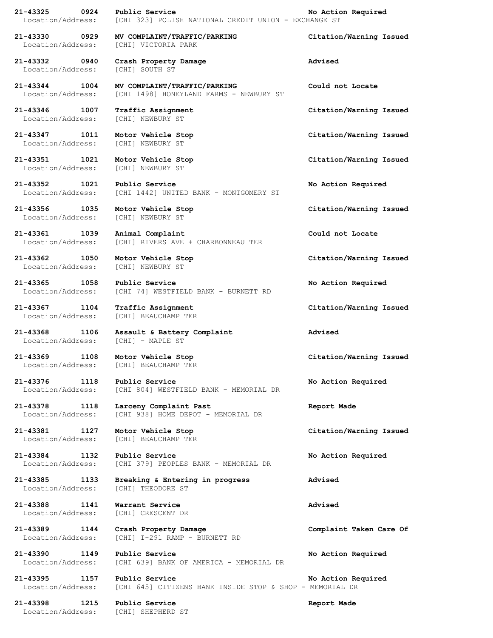| 21-43325<br>$\overline{0924}$ | Public Service                                           | No Action Required      |
|-------------------------------|----------------------------------------------------------|-------------------------|
| Location/Address:             | [CHI 323] POLISH NATIONAL CREDIT UNION - EXCHANGE ST     |                         |
| 21-43330 0929                 | MV COMPLAINT/TRAFFIC/PARKING                             | Citation/Warning Issued |
|                               | Location/Address: [CHI] VICTORIA PARK                    |                         |
|                               |                                                          |                         |
| 21-43332 0940                 | Crash Property Damage                                    | Advised                 |
| Location/Address:             | [CHI] SOUTH ST                                           |                         |
|                               |                                                          |                         |
| 21-43344 1004                 | MV COMPLAINT/TRAFFIC/PARKING                             | Could not Locate        |
| Location/Address:             | [CHI 1498] HONEYLAND FARMS - NEWBURY ST                  |                         |
| 21-43346 1007                 | Traffic Assignment                                       | Citation/Warning Issued |
| Location/Address:             | [CHI] NEWBURY ST                                         |                         |
|                               |                                                          |                         |
| 21-43347 1011                 | Motor Vehicle Stop                                       | Citation/Warning Issued |
| Location/Address:             | [CHI] NEWBURY ST                                         |                         |
|                               |                                                          |                         |
| 21-43351 1021                 | Motor Vehicle Stop                                       | Citation/Warning Issued |
| Location/Address:             | [CHI] NEWBURY ST                                         |                         |
| 21-43352 1021                 | Public Service                                           |                         |
| Location/Address:             | [CHI 1442] UNITED BANK - MONTGOMERY ST                   | No Action Required      |
|                               |                                                          |                         |
| 21-43356 1035                 | Motor Vehicle Stop                                       | Citation/Warning Issued |
| Location/Address:             | [CHI] NEWBURY ST                                         |                         |
|                               |                                                          |                         |
| 21-43361 1039                 | Animal Complaint                                         | Could not Locate        |
| Location/Address:             | [CHI] RIVERS AVE + CHARBONNEAU TER                       |                         |
|                               |                                                          |                         |
| 21-43362 1050                 | Motor Vehicle Stop                                       | Citation/Warning Issued |
| Location/Address:             | [CHI] NEWBURY ST                                         |                         |
| 21-43365 1058                 | Public Service                                           | No Action Required      |
| Location/Address:             | [CHI 74] WESTFIELD BANK - BURNETT RD                     |                         |
|                               |                                                          |                         |
| 21-43367 1104                 | Traffic Assignment                                       | Citation/Warning Issued |
|                               | Location/Address: [CHI] BEAUCHAMP TER                    |                         |
|                               |                                                          |                         |
| 21-43368<br>1106              | Assault & Battery Complaint                              | Advised                 |
| Location/Address:             | [CHI] - MAPLE ST                                         |                         |
|                               | 21-43369 1108 Motor Vehicle Stop                         | Citation/Warning Issued |
| Location/Address:             | [CHI] BEAUCHAMP TER                                      |                         |
|                               |                                                          |                         |
| 21-43376 1118 Public Service  |                                                          | No Action Required      |
| Location/Address:             | [CHI 804] WESTFIELD BANK - MEMORIAL DR                   |                         |
|                               |                                                          |                         |
| 21-43378<br>1118              | Larceny Complaint Past                                   | Report Made             |
| Location/Address:             | [CHI 938] HOME DEPOT - MEMORIAL DR                       |                         |
| 21-43381 1127                 | Motor Vehicle Stop                                       | Citation/Warning Issued |
| Location/Address:             | [CHI] BEAUCHAMP TER                                      |                         |
|                               |                                                          |                         |
| 21-43384<br>1132              | Public Service                                           | No Action Required      |
| Location/Address:             | [CHI 379] PEOPLES BANK - MEMORIAL DR                     |                         |
|                               |                                                          |                         |
| 21-43385 1133                 | Breaking & Entering in progress                          | Advised                 |
| Location/Address:             | [CHI] THEODORE ST                                        |                         |
|                               |                                                          |                         |
| 21-43388<br>1141              | Warrant Service                                          | Advised                 |
| Location/Address:             | [CHI] CRESCENT DR                                        |                         |
| 21-43389 1144                 | Crash Property Damage                                    | Complaint Taken Care Of |
| Location/Address:             | [CHI] I-291 RAMP - BURNETT RD                            |                         |
|                               |                                                          |                         |
| 21-43390<br>1149              | Public Service                                           | No Action Required      |
| Location/Address:             | [CHI 639] BANK OF AMERICA - MEMORIAL DR                  |                         |
|                               |                                                          |                         |
| 21-43395<br>1157              | Public Service                                           | No Action Required      |
| Location/Address:             | [CHI 645] CITIZENS BANK INSIDE STOP & SHOP - MEMORIAL DR |                         |
| 21-43398<br>1215              | Public Service                                           | Report Made             |
|                               | Location/Address: [CHI] SHEPHERD ST                      |                         |
|                               |                                                          |                         |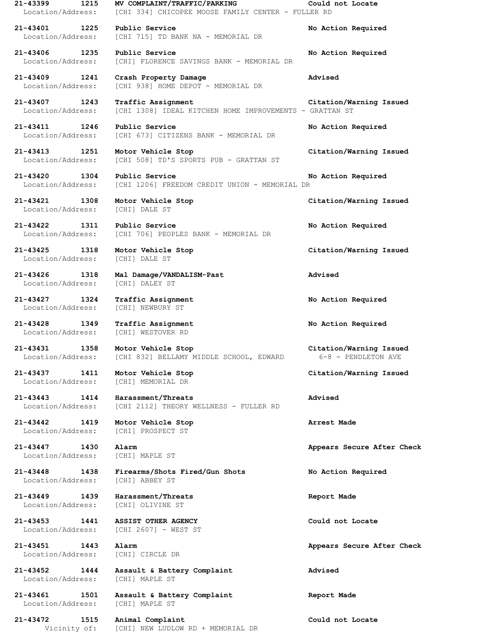**21-43399 1215 MV COMPLAINT/TRAFFIC/PARKING Could not Locate** Location/Address: [CHI 334] CHICOPEE MOOSE FAMILY CENTER - FULLER RD

**21-43401 1225 Public Service No Action Required** Location/Address: [CHI 715] TD BANK NA - MEMORIAL DR

**21-43406 1235 Public Service No Action Required** Location/Address: [CHI] FLORENCE SAVINGS BANK - MEMORIAL DR

**21-43409 1241 Crash Property Damage Advised** Location/Address: [CHI 938] HOME DEPOT - MEMORIAL DR

**21-43407 1243 Traffic Assignment Citation/Warning Issued** Location/Address: [CHI 1308] IDEAL KITCHEN HOME IMPROVEMENTS - GRATTAN ST

**21-43411 1246 Public Service No Action Required** Location/Address: [CHI 673] CITIZENS BANK - MEMORIAL DR

**21-43413 1251 Motor Vehicle Stop Citation/Warning Issued** Location/Address: [CHI 508] TD'S SPORTS PUB - GRATTAN ST

**21-43420 1304 Public Service No Action Required** Location/Address: [CHI 1206] FREEDOM CREDIT UNION - MEMORIAL DR

**21-43421 1308 Motor Vehicle Stop Citation/Warning Issued** Location/Address: [CHI] DALE ST

**21-43422 1311 Public Service No Action Required** Location/Address: [CHI 706] PEOPLES BANK - MEMORIAL DR

Location/Address: [CHI] DALE ST

**21-43426 1318 Mal Damage/VANDALISM-Past Advised** Location/Address: [CHI] DALEY ST

**21-43427 1324 Traffic Assignment No Action Required** Location/Address: [CHI] NEWBURY ST

**21-43428 1349 Traffic Assignment No Action Required** Location/Address: [CHI] WESTOVER RD

**21-43431 1358 Motor Vehicle Stop Citation/Warning Issued** Location/Address: [CHI 832] BELLAMY MIDDLE SCHOOL, EDWARD 6-8 - PENDLETON AVE

Location/Address: [CHI] MEMORIAL DR

**21-43443 1414 Harassment/Threats Advised** Location/Address: [CHI 2112] THEORY WELLNESS - FULLER RD

**21-43442 1419 Motor Vehicle Stop Arrest Made** Location/Address: [CHI] PROSPECT ST

Location/Address: [CHI] MAPLE ST

Location/Address: [CHI] ABBEY ST

**21-43449 1439 Harassment/Threats Report Made**

**21-43453 1441 ASSIST OTHER AGENCY Could not Locate**

Location/Address: [CHI] CIRCLE DR

**21-43448 1438 Firearms/Shots Fired/Gun Shots No Action Required**

Location/Address: [CHI] OLIVINE ST

Location/Address: [CHI 2607] - WEST ST

**21-43452 1444 Assault & Battery Complaint Advised** Location/Address: [CHI] MAPLE ST

**21-43461 1501 Assault & Battery Complaint Report Made** Location/Address: [CHI] MAPLE ST

**21-43472 1515 Animal Complaint Could not Locate** Vicinity of: [CHI] NEW LUDLOW RD + MEMORIAL DR

**21-43425 1318 Motor Vehicle Stop Citation/Warning Issued**

**21-43437 1411 Motor Vehicle Stop Citation/Warning Issued**

**21-43447 1430 Alarm Appears Secure After Check**

**21-43451 1443 Alarm Appears Secure After Check**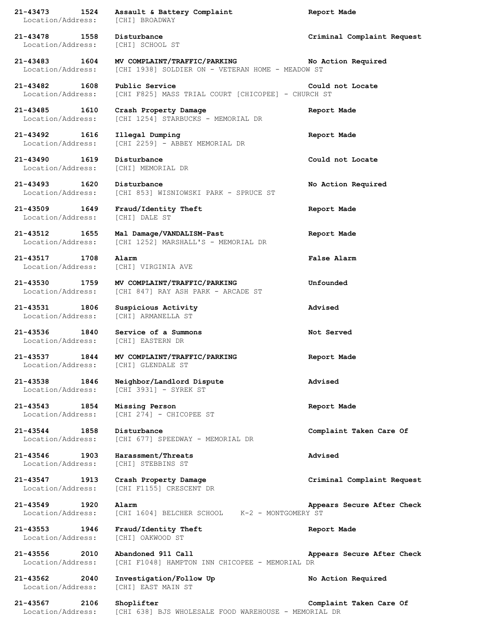**21-43473 1524 Assault & Battery Complaint Report Made** Location/Address: [CHI] BROADWAY **21-43478 1558 Disturbance Criminal Complaint Request** Location/Address: [CHI] SCHOOL ST **21-43483 1604 MV COMPLAINT/TRAFFIC/PARKING No Action Required** Location/Address: [CHI 1938] SOLDIER ON - VETERAN HOME - MEADOW ST **21-43482 1608 Public Service Could not Locate** Location/Address: [CHI F825] MASS TRIAL COURT [CHICOPEE] - CHURCH ST **21-43485 1610 Crash Property Damage Report Made** Location/Address: [CHI 1254] STARBUCKS - MEMORIAL DR **21-43492 1616 Illegal Dumping Report Made** Location/Address: [CHI 2259] - ABBEY MEMORIAL DR **21-43490 1619 Disturbance Could not Locate** Location/Address: [CHI] MEMORIAL DR **21-43493 1620 Disturbance No Action Required** Location/Address: [CHI 853] WISNIOWSKI PARK - SPRUCE ST **21-43509 1649 Fraud/Identity Theft Report Made** Location/Address: [CHI] DALE ST **21-43512 1655 Mal Damage/VANDALISM-Past Report Made** Location/Address: [CHI 1252] MARSHALL'S - MEMORIAL DR **21-43517 1708 Alarm False Alarm** Location/Address: [CHI] VIRGINIA AVE **21-43530 1759 MV COMPLAINT/TRAFFIC/PARKING Unfounded** Location/Address: [CHI 847] RAY ASH PARK - ARCADE ST **21-43531 1806 Suspicious Activity Advised** Location/Address: [CHI] ARMANELLA ST **21-43536 1840 Service of a Summons Not Served** Location/Address: [CHI] EASTERN DR **21-43537 1844 MV COMPLAINT/TRAFFIC/PARKING Report Made** Location/Address: [CHI] GLENDALE ST **21-43538 1846 Neighbor/Landlord Dispute Advised** Location/Address: [CHI 3931] - SYREK ST **21-43543 1854 Missing Person Report Made** Location/Address: [CHI 274] - CHICOPEE ST **21-43544 1858 Disturbance Complaint Taken Care Of** Location/Address: [CHI 677] SPEEDWAY - MEMORIAL DR **21-43546 1903 Harassment/Threats Advised** Location/Address: [CHI] STEBBINS ST **21-43547 1913 Crash Property Damage Criminal Complaint Request** Location/Address: [CHI F1155] CRESCENT DR **21-43549 1920 Alarm Appears Secure After Check** Location/Address: [CHI 1604] BELCHER SCHOOL K-2 - MONTGOMERY ST **21-43553 1946 Fraud/Identity Theft Report Made** Location/Address: [CHI] OAKWOOD ST **21-43556 2010 Abandoned 911 Call Appears Secure After Check** Location/Address: [CHI F1048] HAMPTON INN CHICOPEE - MEMORIAL DR **21-43562 2040 Investigation/Follow Up No Action Required** Location/Address: [CHI] EAST MAIN ST **21-43567 2106 Shoplifter Complaint Taken Care Of** Location/Address: [CHI 638] BJS WHOLESALE FOOD WAREHOUSE - MEMORIAL DR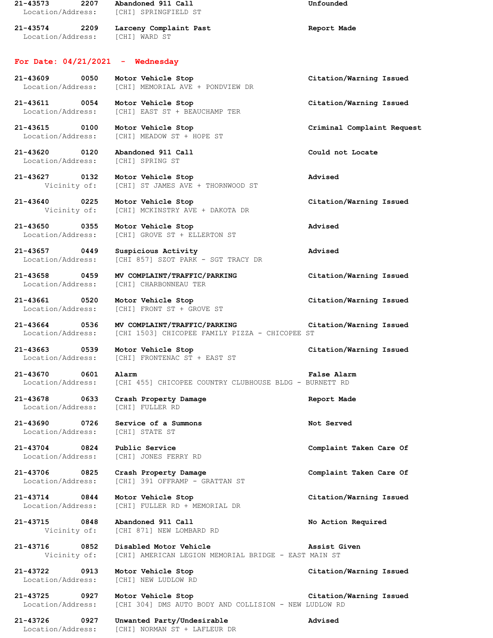**21-43573 2207 Abandoned 911 Call Unfounded** Location/Address: [CHI] SPRINGFIELD ST **21-43574 2209 Larceny Complaint Past Report Made** Location/Address: [CHI] WARD ST **For Date: 04/21/2021 - Wednesday 21-43609 0050 Motor Vehicle Stop Citation/Warning Issued** Location/Address: [CHI] MEMORIAL AVE + PONDVIEW DR **21-43611 0054 Motor Vehicle Stop Citation/Warning Issued** Location/Address: [CHI] EAST ST + BEAUCHAMP TER **21-43615 0100 Motor Vehicle Stop Criminal Complaint Request** Location/Address: [CHI] MEADOW ST + HOPE ST **21-43620 0120 Abandoned 911 Call Could not Locate** Location/Address: [CHI] SPRING ST **21-43627 0132 Motor Vehicle Stop Advised** Vicinity of: [CHI] ST JAMES AVE + THORNWOOD ST **21-43640 0225 Motor Vehicle Stop Citation/Warning Issued** Vicinity of: [CHI] MCKINSTRY AVE + DAKOTA DR **21-43650 0355 Motor Vehicle Stop Advised** Location/Address: [CHI] GROVE ST + ELLERTON ST **21-43657 0449 Suspicious Activity Advised** Location/Address: [CHI 857] SZOT PARK - SGT TRACY DR **21-43658 0459 MV COMPLAINT/TRAFFIC/PARKING Citation/Warning Issued** Location/Address: [CHI] CHARBONNEAU TER **21-43661 0520 Motor Vehicle Stop Citation/Warning Issued** Location/Address: [CHI] FRONT ST + GROVE ST **21-43664 0536 MV COMPLAINT/TRAFFIC/PARKING Citation/Warning Issued** Location/Address: [CHI 1503] CHICOPEE FAMILY PIZZA - CHICOPEE ST **21-43663 0539 Motor Vehicle Stop Citation/Warning Issued** Location/Address: [CHI] FRONTENAC ST + EAST ST **21-43670 0601 Alarm False Alarm** Location/Address: [CHI 455] CHICOPEE COUNTRY CLUBHOUSE BLDG - BURNETT RD **21-43678 0633 Crash Property Damage Report Made** Location/Address: **21-43690 0726 Service of a Summons Not Served** Location/Address: [CHI] STATE ST **21-43704 0824 Public Service Complaint Taken Care Of** Location/Address: [CHI] JONES FERRY RD **21-43706 0825 Crash Property Damage Complaint Taken Care Of** Location/Address: [CHI] 391 OFFRAMP - GRATTAN ST **21-43714 0844 Motor Vehicle Stop Citation/Warning Issued** Location/Address: [CHI] FULLER RD + MEMORIAL DR **21-43715 0848 Abandoned 911 Call No Action Required** Vicinity of: [CHI 871] NEW LOMBARD RD **21-43716 0852 Disabled Motor Vehicle Assist Given** Vicinity of: [CHI] AMERICAN LEGION MEMORIAL BRIDGE - EAST MAIN ST **21-43722 0913 Motor Vehicle Stop Citation/Warning Issued** Location/Address: [CHI] NEW LUDLOW RD **21-43725 0927 Motor Vehicle Stop Citation/Warning Issued** Location/Address: [CHI 304] DMS AUTO BODY AND COLLISION - NEW LUDLOW RD

**21-43726 0927 Unwanted Party/Undesirable Advised** [CHI] NORMAN ST + LAFLEUR DR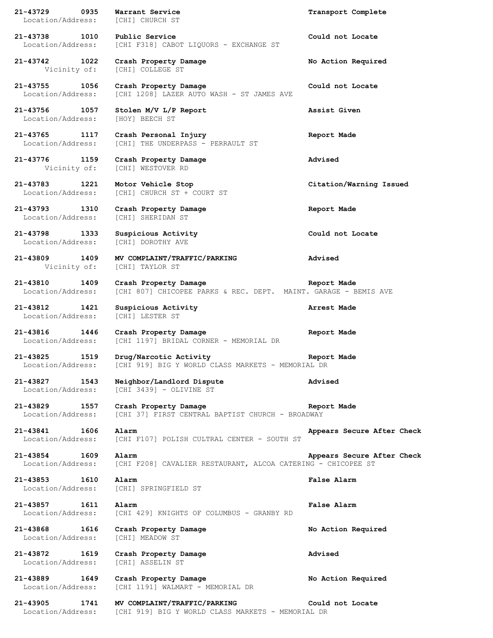**21-43729 0935 Warrant Service Transport Complete** Location/Address: [CHI] CHURCH ST **21-43738 1010 Public Service Could not Locate** Location/Address: [CHI F318] CABOT LIQUORS - EXCHANGE ST **21-43742 1022 Crash Property Damage No Action Required** Vicinity of: [CHI] COLLEGE ST **21-43755 1056 Crash Property Damage Could not Locate** [CHI 1208] LAZER AUTO WASH - ST JAMES AVE **21-43756 1057 Stolen M/V L/P Report Assist Given** Location/Address: [HOY] BEECH ST **21-43765 1117 Crash Personal Injury Report Made** Location/Address: [CHI] THE UNDERPASS - PERRAULT ST **21-43776 1159 Crash Property Damage Advised** Vicinity of: [CHI] WESTOVER RD **21-43783 1221 Motor Vehicle Stop Citation/Warning Issued** Location/Address: [CHI] CHURCH ST + COURT ST **21-43793 1310 Crash Property Damage Report Made** Location/Address: [CHI] SHERIDAN ST **21-43798 1333 Suspicious Activity Could not Locate** Location/Address: [CHI] DOROTHY AVE **21-43809 1409 MV COMPLAINT/TRAFFIC/PARKING Advised** Vicinity of: [CHI] TAYLOR ST **21-43810 1409 Crash Property Damage Report Made** Location/Address: [CHI 807] CHICOPEE PARKS & REC. DEPT. MAINT. GARAGE - BEMIS AVE **21-43812 1421 Suspicious Activity Arrest Made** Location/Address: [CHI] LESTER ST **21-43816 1446 Crash Property Damage Report Made** Location/Address: [CHI 1197] BRIDAL CORNER - MEMORIAL DR **21-43825 1519 Drug/Narcotic Activity Report Made** Location/Address: [CHI 919] BIG Y WORLD CLASS MARKETS - MEMORIAL DR **21-43827 1543 Neighbor/Landlord Dispute Advised** Location/Address: [CHI 3439] - OLIVINE ST **21-43829 1557 Crash Property Damage Report Made** Location/Address: [CHI 37] FIRST CENTRAL BAPTIST CHURCH - BROADWAY **21-43841 1606 Alarm Appears Secure After Check** Location/Address: [CHI F107] POLISH CULTRAL CENTER - SOUTH ST **21-43854 1609 Alarm Appears Secure After Check** Location/Address: [CHI F208] CAVALIER RESTAURANT, ALCOA CATERING - CHICOPEE ST **21-43853 1610 Alarm False Alarm** Location/Address: [CHI] SPRINGFIELD ST **21-43857 1611 Alarm False Alarm** Location/Address: [CHI 429] KNIGHTS OF COLUMBUS - GRANBY RD **21-43868 1616 Crash Property Damage No Action Required** Location/Address: [CHI] MEADOW ST **21-43872 1619 Crash Property Damage Advised** Location/Address: [CHI] ASSELIN ST **21-43889 1649 Crash Property Damage No Action Required** Location/Address: [CHI 1191] WALMART - MEMORIAL DR **21-43905 1741 MV COMPLAINT/TRAFFIC/PARKING Could not Locate** Location/Address: [CHI 919] BIG Y WORLD CLASS MARKETS - MEMORIAL DR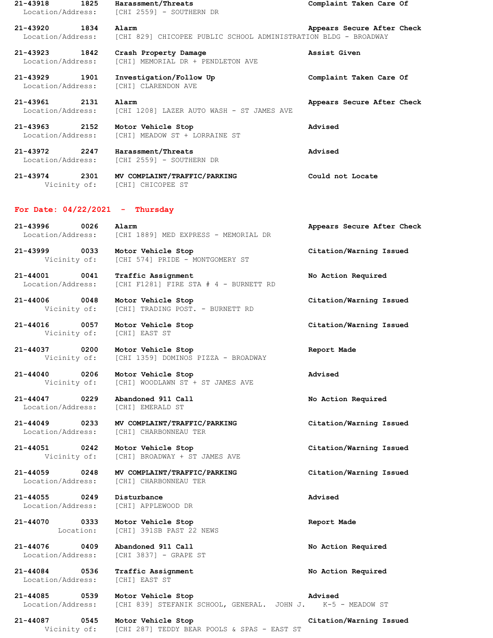**21-43918 1825 Harassment/Threats Complaint Taken Care Of** Location/Address: [CHI 2559] - SOUTHERN DR **21-43920 1834 Alarm Appears Secure After Check** Location/Address: [CHI 829] CHICOPEE PUBLIC SCHOOL ADMINISTRATION BLDG - BROADWAY **21-43923 1842 Crash Property Damage Assist Given** Location/Address: [CHI] MEMORIAL DR + PENDLETON AVE **21-43929 1901 Investigation/Follow Up Complaint Taken Care Of** Location/Address: [CHI] CLARENDON AVE **21-43961 2131 Alarm Appears Secure After Check** Location/Address: [CHI 1208] LAZER AUTO WASH - ST JAMES AVE **21-43963 2152 Motor Vehicle Stop Advised** Location/Address: [CHI] MEADOW ST + LORRAINE ST **21-43972 2247 Harassment/Threats Advised** Location/Address: [CHI 2559] - SOUTHERN DR

**21-43974 2301 MV COMPLAINT/TRAFFIC/PARKING Could not Locate** Vicinity of: [CHI] CHICOPEE ST

## **For Date: 04/22/2021 - Thursday**

**21-43996 0026 Alarm Appears Secure After Check** Location/Address: [CHI 1889] MED EXPRESS - MEMORIAL DR

**21-43999 0033 Motor Vehicle Stop Citation/Warning Issued** Vicinity of: [CHI 574] PRIDE - MONTGOMERY ST

**21-44001 0041 Traffic Assignment No Action Required** Location/Address: [CHI F1281] FIRE STA # 4 - BURNETT RD

**21-44006 0048 Motor Vehicle Stop Citation/Warning Issued** Vicinity of: [CHI] TRADING POST. - BURNETT RD

**21-44016 0057 Motor Vehicle Stop Citation/Warning Issued** Vicinity of: [CHI] EAST ST

**21-44037 0200 Motor Vehicle Stop Report Made** Vicinity of: [CHI 1359] DOMINOS PIZZA - BROADWAY

**21-44040 0206 Motor Vehicle Stop Advised** Vicinity of: [CHI] WOODLAWN ST + ST JAMES AVE

**21-44047 0229 Abandoned 911 Call No Action Required** Location/Address: [CHI] EMERALD ST

**21-44049 0233 MV COMPLAINT/TRAFFIC/PARKING Citation/Warning Issued** Location/Address: [CHI] CHARBONNEAU TER

**21-44051 0242 Motor Vehicle Stop Citation/Warning Issued** Vicinity of: [CHI] BROADWAY + ST JAMES AVE

**21-44059 0248 MV COMPLAINT/TRAFFIC/PARKING Citation/Warning Issued** Location/Address: [CHI] CHARBONNEAU TER

**21-44055 0249 Disturbance Advised** Location/Address: [CHI] APPLEWOOD DR

**21-44070 0333 Motor Vehicle Stop Report Made** Location: [CHI] 391SB PAST 22 NEWS

**21-44076 0409 Abandoned 911 Call No Action Required** Location/Address: [CHI 3837] - GRAPE ST

**21-44084 0536 Traffic Assignment No Action Required** Location/Address: [CHI] EAST ST

**21-44085 0539 Motor Vehicle Stop Advised** Location/Address: [CHI 839] STEFANIK SCHOOL, GENERAL. JOHN J. K-5 - MEADOW ST

**21-44087 0545 Motor Vehicle Stop Citation/Warning Issued** Vicinity of: [CHI 287] TEDDY BEAR POOLS & SPAS - EAST ST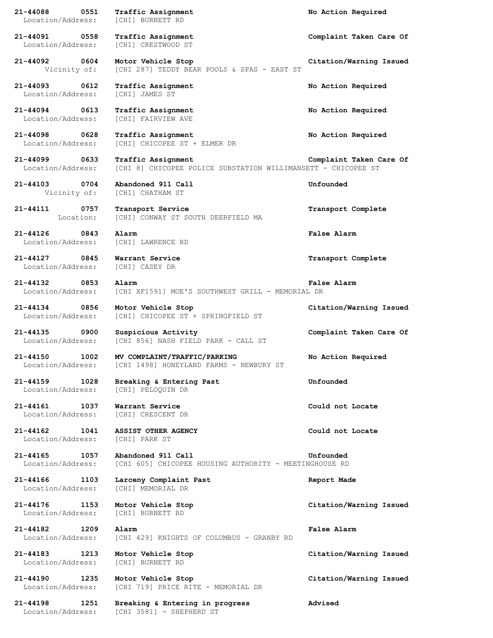**21-44088 0551 Traffic Assignment No Action Required** Location/Address: [CHI] BURNETT RD **21-44091 0558 Traffic Assignment Complaint Taken Care Of** Location/Address: [CHI] CRESTWOOD ST **21-44092 0604 Motor Vehicle Stop Citation/Warning Issued** Vicinity of: [CHI 287] TEDDY BEAR POOLS & SPAS - EAST ST **21-44093 0612 Traffic Assignment No Action Required** Location/Address: [CHI] JAMES ST **21-44094 0613 Traffic Assignment No Action Required** Location/Address: [CHI] FAIRVIEW AVE **21-44098 0628 Traffic Assignment No Action Required** Location/Address: [CHI] CHICOPEE ST + ELMER DR **21-44099 0633 Traffic Assignment Complaint Taken Care Of** Location/Address: [CHI 8] CHICOPEE POLICE SUBSTATION WILLIMANSETT - CHICOPEE ST **21-44103 0704 Abandoned 911 Call Unfounded** Vicinity of: [CHI] CHATHAM ST **21-44111 0757 Transport Service Transport Complete** Location: [CHI] CONWAY ST SOUTH DEERFIELD MA **21-44126 0843 Alarm False Alarm** Location/Address: [CHI] LAWRENCE RD **21-44127 0845 Warrant Service Transport Complete** Location/Address: [CHI] CASEY DR **21-44132 0853 Alarm False Alarm** Location/Address: [CHI XF1591] MOE'S SOUTHWEST GRILL - MEMORIAL DR **21-44134 0856 Motor Vehicle Stop Citation/Warning Issued** Location/Address: [CHI] CHICOPEE ST + SPRINGFIELD ST **21-44135 0900 Suspicious Activity Complaint Taken Care Of** Location/Address: [CHI 856] NASH FIELD PARK - CALL ST **21-44150 1002 MV COMPLAINT/TRAFFIC/PARKING No Action Required** Location/Address: [CHI 1498] HONEYLAND FARMS - NEWBURY ST **21-44159 1028 Breaking & Entering Past Unfounded** Location/Address: [CHI] PELOQUIN DR **21-44161 1037 Warrant Service Could not Locate** Location/Address: [CHI] CRESCENT DR **21-44162 1041 ASSIST OTHER AGENCY Could not Locate** Location/Address: [CHI] PARK ST **21-44165 1057 Abandoned 911 Call Unfounded** Location/Address: [CHI 605] CHICOPEE HOUSING AUTHORITY - MEETINGHOUSE RD **21-44166 1103 Larceny Complaint Past Report Made** Location/Address: [CHI] MEMORIAL DR **21-44176 1153 Motor Vehicle Stop Citation/Warning Issued** Location/Address: **21-44182 1209 Alarm False Alarm** Location/Address: [CHI 429] KNIGHTS OF COLUMBUS - GRANBY RD **21-44183 1213 Motor Vehicle Stop Citation/Warning Issued** Location/Address: [CHI] BURNETT RD **21-44190 1235 Motor Vehicle Stop Citation/Warning Issued** Location/Address: [CHI 719] PRICE RITE - MEMORIAL DR **21-44198 1251 Breaking & Entering in progress Advised** Location/Address: [CHI 3581] - SHEPHERD ST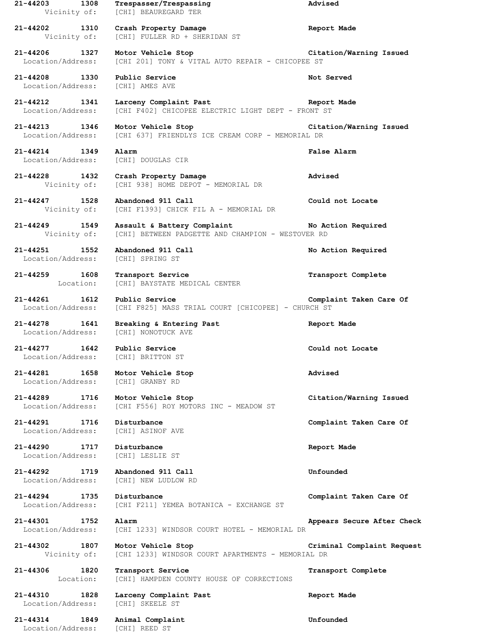**21-44203 1308 Trespasser/Trespassing Advised** Vicinity of: [CHI] BEAUREGARD TER **21-44202 1310 Crash Property Damage Report Made** Vicinity of: [CHI] FULLER RD + SHERIDAN ST **21-44206 1327 Motor Vehicle Stop Citation/Warning Issued** Location/Address: [CHI 201] TONY & VITAL AUTO REPAIR - CHICOPEE ST **21-44208 1330 Public Service Not Served** Location/Address: [CHI] AMES AVE **21-44212 1341 Larceny Complaint Past Report Made** Location/Address: [CHI F402] CHICOPEE ELECTRIC LIGHT DEPT - FRONT ST **21-44213 1346 Motor Vehicle Stop Citation/Warning Issued** Location/Address: [CHI 637] FRIENDLYS ICE CREAM CORP - MEMORIAL DR **21-44214 1349 Alarm False Alarm** Location/Address: [CHI] DOUGLAS CIR **21-44228 1432 Crash Property Damage Advised** Vicinity of: [CHI 938] HOME DEPOT - MEMORIAL DR **21-44247 1528 Abandoned 911 Call Could not Locate** Vicinity of: [CHI F1393] CHICK FIL A - MEMORIAL DR **21-44249 1549 Assault & Battery Complaint No Action Required** Vicinity of: [CHI] BETWEEN PADGETTE AND CHAMPION - WESTOVER RD **21-44251 1552 Abandoned 911 Call No Action Required** Location/Address: [CHI] SPRING ST **21-44259 1608 Transport Service Transport Complete** Location: [CHI] BAYSTATE MEDICAL CENTER **21-44261 1612 Public Service Complaint Taken Care Of** Location/Address: [CHI F825] MASS TRIAL COURT [CHICOPEE] - CHURCH ST **21-44278 1641 Breaking & Entering Past Report Made** Location/Address: **21-44277 1642 Public Service Could not Locate** Location/Address: [CHI] BRITTON ST **21-44281 1658 Motor Vehicle Stop Advised** Location/Address: [CHI] GRANBY RD **21-44289 1716 Motor Vehicle Stop Citation/Warning Issued** Location/Address: [CHI F556] ROY MOTORS INC - MEADOW ST **21-44291 1716 Disturbance Complaint Taken Care Of** Location/Address: [CHI] ASINOF AVE **21-44290 1717 Disturbance Report Made** Location/Address: [CHI] LESLIE ST **21-44292 1719 Abandoned 911 Call Unfounded** Location/Address: [CHI] NEW LUDLOW RD **21-44294 1735 Disturbance Complaint Taken Care Of** Location/Address: [CHI F211] YEMEA BOTANICA - EXCHANGE ST **21-44301 1752 Alarm Appears Secure After Check** Location/Address: [CHI 1233] WINDSOR COURT HOTEL - MEMORIAL DR **21-44302 1807 Motor Vehicle Stop Criminal Complaint Request** Vicinity of: [CHI 1233] WINDSOR COURT APARTMENTS - MEMORIAL DR **21-44306 1820 Transport Service Transport Complete** Location: [CHI] HAMPDEN COUNTY HOUSE OF CORRECTIONS **21-44310 1828 Larceny Complaint Past Report Made** Location/Address: [CHI] SKEELE ST **21-44314 1849 Animal Complaint Unfounded** Location/Address: [CHI] REED ST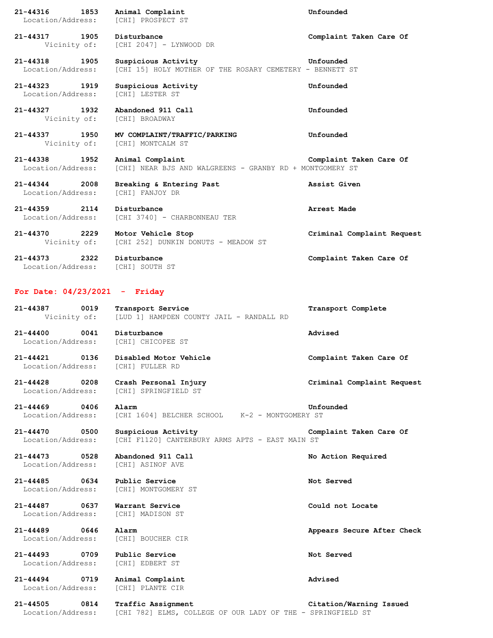| 21-44316 1853<br>Location/Address:                | Animal Complaint<br>[CHI] PROSPECT ST                                             | Unfounded                  |
|---------------------------------------------------|-----------------------------------------------------------------------------------|----------------------------|
| 21-44317 1905                                     | Disturbance<br>Vicinity of: [CHI 2047] - LYNWOOD DR                               | Complaint Taken Care Of    |
| 21-44318 1905<br>Location/Address:                | Suspicious Activity<br>[CHI 15] HOLY MOTHER OF THE ROSARY CEMETERY - BENNETT ST   | Unfounded                  |
| 21-44323 1919<br>Location/Address:                | Suspicious Activity<br>[CHI] LESTER ST                                            | Unfounded                  |
| 21-44327 1932                                     | Abandoned 911 Call<br>Vicinity of: [CHI] BROADWAY                                 | Unfounded                  |
| 21-44337 1950                                     | MV COMPLAINT/TRAFFIC/PARKING<br>Vicinity of: [CHI] MONTCALM ST                    | Unfounded                  |
| 21-44338 1952<br>Location/Address:                | Animal Complaint<br>[CHI] NEAR BJS AND WALGREENS - GRANBY RD + MONTGOMERY ST      | Complaint Taken Care Of    |
| 21-44344 2008<br>Location/Address:                | Breaking & Entering Past<br>[CHI] FANJOY DR                                       | Assist Given               |
| 21-44359 2114<br>Location/Address:                | Disturbance<br>[CHI 3740] - CHARBONNEAU TER                                       | Arrest Made                |
| 21–44370 2229                                     | Motor Vehicle Stop<br>Vicinity of: [CHI 252] DUNKIN DONUTS - MEADOW ST            | Criminal Complaint Request |
| 21-44373 2322<br>Location/Address: [CHI] SOUTH ST | Disturbance                                                                       | Complaint Taken Care Of    |
| For Date: $04/23/2021$ - Friday                   |                                                                                   |                            |
| 21-44387 0019                                     | Transport Service<br>Vicinity of: [LUD 1] HAMPDEN COUNTY JAIL - RANDALL RD        | Transport Complete         |
| 21-44400 0041 Disturbance                         | Location/Address: [CHI] CHICOPEE ST                                               | Advised                    |
| Location/Address:                                 | 21-44421 0136 Disabled Motor Vehicle<br>[CHI] FULLER RD                           | Complaint Taken Care Of    |
| 21-44428 0208<br>Location/Address:                | Crash Personal Injury<br>[CHI] SPRINGFIELD ST                                     | Criminal Complaint Request |
| 21-44469 0406<br>Location/Address:                | Alarm<br>[CHI 1604] BELCHER SCHOOL K-2 - MONTGOMERY ST                            | Unfounded                  |
| 21-44470 0500<br>Location/Address:                | Suspicious Activity<br>[CHI F1120] CANTERBURY ARMS APTS - EAST MAIN ST            | Complaint Taken Care Of    |
| 21-44473 0528<br>Location/Address:                | Abandoned 911 Call<br>[CHI] ASINOF AVE                                            | No Action Required         |
| 21-44485 0634<br>Location/Address:                | Public Service<br>[CHI] MONTGOMERY ST                                             | Not Served                 |
| 21-44487 0637<br>Location/Address:                | Warrant Service<br>[CHI] MADISON ST                                               | Could not Locate           |
| 21-44489 0646<br>Location/Address:                | Alarm<br>[CHI] BOUCHER CIR                                                        | Appears Secure After Check |
| 21-44493 0709<br>Location/Address:                | Public Service<br>[CHI] EDBERT ST                                                 | Not Served                 |
| 21-44494<br>0719<br>Location/Address:             | Animal Complaint<br>[CHI] PLANTE CIR                                              | Advised                    |
| 21-44505<br>0814<br>Location/Address:             | Traffic Assignment<br>[CHI 782] ELMS, COLLEGE OF OUR LADY OF THE - SPRINGFIELD ST | Citation/Warning Issued    |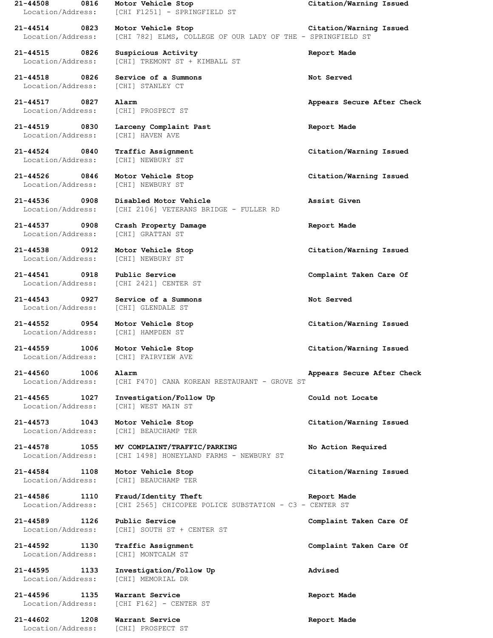Location/Address: [CHI] NEWBURY ST

**21-44526 0846 Motor Vehicle Stop Citation/Warning Issued** Location/Address: [CHI] NEWBURY ST

**21-44537 0908 Crash Property Damage Report Made**

Location/Address: [CHI] NEWBURY ST

**21-44543 0927 Service of a Summons Not Served**

Location/Address: [CHI] MONTCALM ST

**21-44602 1208 Warrant Service Report Made**

**21-44508 0816 Motor Vehicle Stop Citation/Warning Issued** Location/Address: [CHI F1251] - SPRINGFIELD ST

**21-44514 0823 Motor Vehicle Stop Citation/Warning Issued** Location/Address: [CHI 782] ELMS, COLLEGE OF OUR LADY OF THE - SPRINGFIELD ST

**21-44515 0826 Suspicious Activity Report Made** Location/Address: [CHI] TREMONT ST + KIMBALL ST

**21-44518 0826 Service of a Summons Not Served** Location/Address: [CHI] STANLEY CT

Location/Address: [CHI] PROSPECT ST

**21-44519 0830 Larceny Complaint Past Report Made** Location/Address: [CHI] HAVEN AVE

**21-44536 0908 Disabled Motor Vehicle Assist Given** Location/Address: [CHI 2106] VETERANS BRIDGE - FULLER RD

Location/Address: [CHI] GRATTAN ST

Location/Address: [CHI 2421] CENTER ST

Location/Address: [CHI] GLENDALE ST

Location/Address: [CHI] HAMPDEN ST

Location/Address: [CHI] FAIRVIEW AVE

**21-44560 1006 Alarm Appears Secure After Check** Location/Address: [CHI F470] CANA KOREAN RESTAURANT - GROVE ST

**21-44565 1027 Investigation/Follow Up Could not Locate** Location/Address: [CHI] WEST MAIN ST

Location/Address: [CHI] BEAUCHAMP TER

**21-44578 1055 MV COMPLAINT/TRAFFIC/PARKING No Action Required** Location/Address: [CHI 1498] HONEYLAND FARMS - NEWBURY ST

**21-44584 1108 Motor Vehicle Stop Citation/Warning Issued** Location/Address: [CHI] BEAUCHAMP TER

**21-44586 1110 Fraud/Identity Theft Report Made** Location/Address: [CHI 2565] CHICOPEE POLICE SUBSTATION - C3 - CENTER ST

**21-44589 1126 Public Service Complaint Taken Care Of** Location/Address: [CHI] SOUTH ST + CENTER ST

**21-44595 1133 Investigation/Follow Up Advised** Location/Address: [CHI] MEMORIAL DR

**21-44596 1135 Warrant Service Report Made** Location/Address: [CHI F162] - CENTER ST

Location/Address: [CHI] PROSPECT ST

**21-44517 0827 Alarm Appears Secure After Check**

**21-44524 0840 Traffic Assignment Citation/Warning Issued**

**21-44538 0912 Motor Vehicle Stop Citation/Warning Issued**

**21-44541 0918 Public Service Complaint Taken Care Of**

**21-44552 0954 Motor Vehicle Stop Citation/Warning Issued**

**21-44559 1006 Motor Vehicle Stop Citation/Warning Issued**

**21-44573 1043 Motor Vehicle Stop Citation/Warning Issued**

**21-44592 1130 Traffic Assignment Complaint Taken Care Of**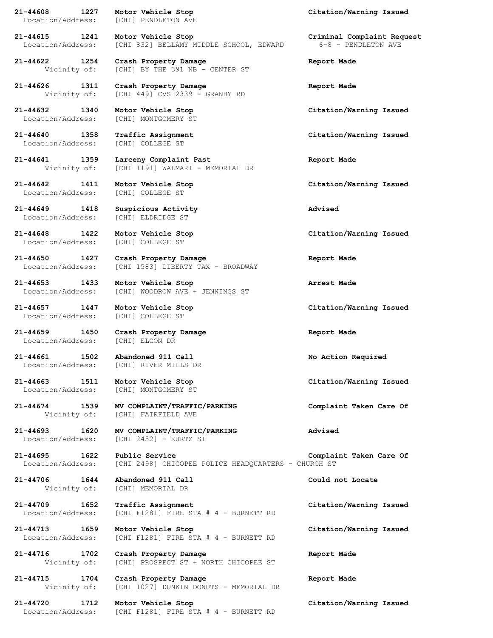**21-44608 1227 Motor Vehicle Stop Citation/Warning Issued** Location/Address: [CHI] PENDLETON AVE

**21-44640 1358 Traffic Assignment Citation/Warning Issued** Location/Address:

Location/Address: [CHI] COLLEGE ST

Location/Address: [CHI] ELDRIDGE ST

Location/Address: [CHI] COLLEGE ST

**21-44706 1644 Abandoned 911 Call Could not Locate** Vicinity of: [CHI] MEMORIAL DR

**21-44615 1241 Motor Vehicle Stop Criminal Complaint Request** Location/Address: [CHI 832] BELLAMY MIDDLE SCHOOL, EDWARD 6-8 - PENDLETON AVE

**21-44622 1254 Crash Property Damage Report Made** Vicinity of: [CHI] BY THE 391 NB - CENTER ST

**21-44626 1311 Crash Property Damage Report Made** Vicinity of: [CHI 449] CVS 2339 - GRANBY RD

Location/Address: [CHI] MONTGOMERY ST

**21-44641 1359 Larceny Complaint Past Report Made** Vicinity of: [CHI 1191] WALMART - MEMORIAL DR

**21-44649 1418 Suspicious Activity Advised**

**21-44650 1427 Crash Property Damage Report Made** Location/Address: [CHI 1583] LIBERTY TAX - BROADWAY

**21-44653 1433 Motor Vehicle Stop Arrest Made** Location/Address: [CHI] WOODROW AVE + JENNINGS ST

Location/Address: [CHI] COLLEGE ST

**21-44659 1450 Crash Property Damage Report Made** Location/Address: [CHI] ELCON DR

**21-44661 1502 Abandoned 911 Call No Action Required** Location/Address: [CHI] RIVER MILLS DR

Location/Address: [CHI] MONTGOMERY ST

**21-44674 1539 MV COMPLAINT/TRAFFIC/PARKING Complaint Taken Care Of** Vicinity of: [CHI] FAIRFIELD AVE

**21-44693 1620 MV COMPLAINT/TRAFFIC/PARKING Advised** Location/Address: [CHI 2452] - KURTZ ST

**21-44695 1622 Public Service Complaint Taken Care Of** Location/Address: [CHI 2498] CHICOPEE POLICE HEADQUARTERS - CHURCH ST

**21-44709 1652 Traffic Assignment Citation/Warning Issued** Location/Address: [CHI F1281] FIRE STA # 4 - BURNETT RD

**21-44713 1659 Motor Vehicle Stop Citation/Warning Issued** Location/Address: [CHI F1281] FIRE STA # 4 - BURNETT RD

**21-44716 1702 Crash Property Damage Report Made** Vicinity of: [CHI] PROSPECT ST + NORTH CHICOPEE ST

**21-44715 1704 Crash Property Damage Report Made** Vicinity of: [CHI 1027] DUNKIN DONUTS - MEMORIAL DR

Location/Address: [CHI F1281] FIRE STA # 4 - BURNETT RD

**21-44632 1340 Motor Vehicle Stop Citation/Warning Issued**

**21-44642 1411 Motor Vehicle Stop Citation/Warning Issued**

**21-44648 1422 Motor Vehicle Stop Citation/Warning Issued**

**21-44657 1447 Motor Vehicle Stop Citation/Warning Issued**

**21-44663 1511 Motor Vehicle Stop Citation/Warning Issued**

**21-44720 1712 Motor Vehicle Stop Citation/Warning Issued**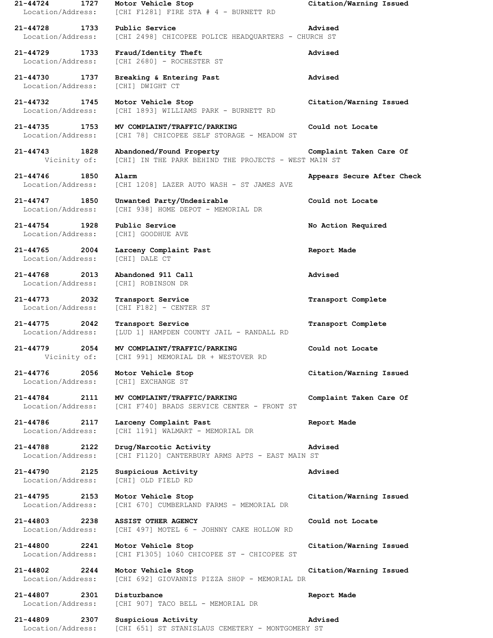| $21 - 44724$<br>1727<br>Location/Address: | Motor Vehicle Stop<br>[CHI F1281] FIRE STA # 4 - BURNETT RD                      | Citation/Warning Issued    |
|-------------------------------------------|----------------------------------------------------------------------------------|----------------------------|
| 21-44728<br>1733<br>Location/Address:     | Public Service<br>[CHI 2498] CHICOPEE POLICE HEADQUARTERS - CHURCH ST            | Advised                    |
| $21 - 44729$<br>1733<br>Location/Address: | Fraud/Identity Theft<br>[CHI 2680] - ROCHESTER ST                                | Advised                    |
| 21-44730<br>1737<br>Location/Address:     | Breaking & Entering Past<br>[CHI] DWIGHT CT                                      | Advised                    |
| 21-44732<br>1745<br>Location/Address:     | Motor Vehicle Stop<br>[CHI 1893] WILLIAMS PARK - BURNETT RD                      | Citation/Warning Issued    |
| 21-44735<br>1753<br>Location/Address:     | MV COMPLAINT/TRAFFIC/PARKING<br>[CHI 78] CHICOPEE SELF STORAGE - MEADOW ST       | Could not Locate           |
| 21-44743<br>1828<br>Vicinity of:          | Abandoned/Found Property<br>[CHI] IN THE PARK BEHIND THE PROJECTS - WEST MAIN ST | Complaint Taken Care Of    |
| 21-44746<br>1850<br>Location/Address:     | Alarm<br>[CHI 1208] LAZER AUTO WASH - ST JAMES AVE                               | Appears Secure After Check |
| 21-44747<br>1850<br>Location/Address:     | Unwanted Party/Undesirable<br>[CHI 938] HOME DEPOT - MEMORIAL DR                 | Could not Locate           |
| $21 - 44754$<br>1928<br>Location/Address: | Public Service<br>[CHI] GOODHUE AVE                                              | No Action Required         |
| 21-44765<br>2004<br>Location/Address:     | Larceny Complaint Past<br>[CHI] DALE CT                                          | Report Made                |
| 21-44768<br>2013<br>Location/Address:     | Abandoned 911 Call<br>[CHI] ROBINSON DR                                          | Advised                    |
| 21-44773<br>2032<br>Location/Address:     | Transport Service<br>[CHI F182] - CENTER ST                                      | Transport Complete         |
| $21 - 44775$<br>2042<br>Location/Address: | Transport Service<br>[LUD 1] HAMPDEN COUNTY JAIL - RANDALL RD                    | Transport Complete         |
| 21-44779<br>2054<br>Vicinity of:          | MV COMPLAINT/TRAFFIC/PARKING<br>[CHI 991] MEMORIAL DR + WESTOVER RD              | Could not Locate           |
| 21-44776 2056<br>Location/Address:        | Motor Vehicle Stop<br>[CHI] EXCHANGE ST                                          | Citation/Warning Issued    |
| 21-44784 2111<br>Location/Address:        | MV COMPLAINT/TRAFFIC/PARKING<br>[CHI F740] BRADS SERVICE CENTER - FRONT ST       | Complaint Taken Care Of    |
| 21-44786 2117<br>Location/Address:        | Larceny Complaint Past<br>[CHI 1191] WALMART - MEMORIAL DR                       | Report Made                |
| 21-44788 2122<br>Location/Address:        | Drug/Narcotic Activity<br>[CHI F1120] CANTERBURY ARMS APTS - EAST MAIN ST        | Advised                    |
| 21-44790 2125<br>Location/Address:        | Suspicious Activity<br>[CHI] OLD FIELD RD                                        | Advised                    |
| 21-44795 2153<br>Location/Address:        | Motor Vehicle Stop<br>[CHI 670] CUMBERLAND FARMS - MEMORIAL DR                   | Citation/Warning Issued    |
| 21-44803 2238<br>Location/Address:        | <b>ASSIST OTHER AGENCY</b><br>[CHI 497] MOTEL 6 - JOHNNY CAKE HOLLOW RD          | Could not Locate           |
| 21-44800 2241<br>Location/Address:        | Motor Vehicle Stop<br>[CHI F1305] 1060 CHICOPEE ST - CHICOPEE ST                 | Citation/Warning Issued    |
| 21-44802<br>2244                          |                                                                                  |                            |
| Location/Address:                         | Motor Vehicle Stop<br>[CHI 692] GIOVANNIS PIZZA SHOP - MEMORIAL DR               | Citation/Warning Issued    |
| 21-44807 2301<br>Location/Address:        | Disturbance<br>[CHI 907] TACO BELL - MEMORIAL DR                                 | Report Made                |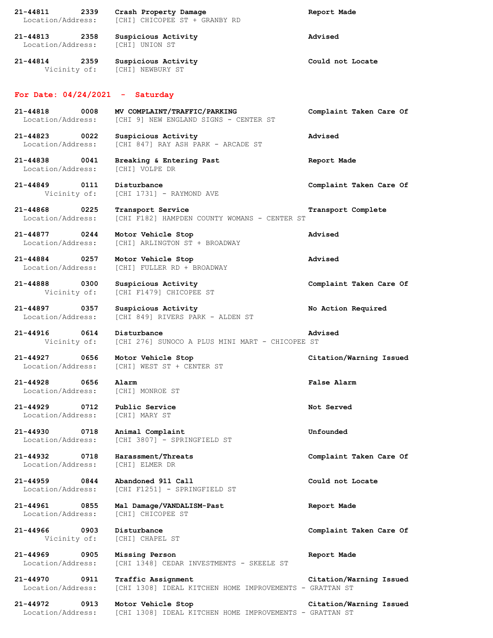| $21 - 44811$<br>2339<br>Location/Address:             | Crash Property Damage<br>[CHI] CHICOPEE ST + GRANBY RD                        | Report Made             |
|-------------------------------------------------------|-------------------------------------------------------------------------------|-------------------------|
| 21-44813 2358<br>Location/Address:                    | Suspicious Activity<br>[CHI] UNION ST                                         | Advised                 |
| 21-44814 2359<br>Vicinity of:                         | Suspicious Activity<br>[CHI] NEWBURY ST                                       | Could not Locate        |
| For Date: $04/24/2021$ - Saturday                     |                                                                               |                         |
| 0008<br>21-44818<br>Location/Address:                 | MV COMPLAINT/TRAFFIC/PARKING<br>[CHI 9] NEW ENGLAND SIGNS - CENTER ST         | Complaint Taken Care Of |
| 21-44823 0022<br>Location/Address:                    | Suspicious Activity<br>[CHI 847] RAY ASH PARK - ARCADE ST                     | Advised                 |
| 21-44838<br>0041<br>Location/Address:                 | Breaking & Entering Past<br>[CHI] VOLPE DR                                    | Report Made             |
| 21-44849 0111<br>Vicinity of:                         | Disturbance<br>[CHI 1731] - RAYMOND AVE                                       | Complaint Taken Care Of |
| 21-44868 0225<br>Location/Address:                    | Transport Service<br>[CHI F182] HAMPDEN COUNTY WOMANS - CENTER ST             | Transport Complete      |
| 21-44877 0244<br>Location/Address:                    | Motor Vehicle Stop<br>[CHI] ARLINGTON ST + BROADWAY                           | Advised                 |
| 21-44884 0257<br>Location/Address:                    | Motor Vehicle Stop<br>[CHI] FULLER RD + BROADWAY                              | Advised                 |
| 21-44888<br>0300<br>Vicinity of:                      | Suspicious Activity<br>[CHI F1479] CHICOPEE ST                                | Complaint Taken Care Of |
| 21-44897<br>0357<br>Location/Address:                 | Suspicious Activity<br>[CHI 849] RIVERS PARK - ALDEN ST                       | No Action Required      |
| 0614<br>21-44916<br>Vicinity of:                      | Disturbance<br>[CHI 276] SUNOCO A PLUS MINI MART - CHICOPEE ST                | Advised                 |
| 21-44927<br>0656<br>Location/Address:                 | Motor Vehicle Stop<br>[CHI] WEST ST + CENTER ST                               | Citation/Warning Issued |
| 0656<br>21-44928<br>Location/Address: [CHI] MONROE ST | Alarm                                                                         | False Alarm             |
| 21-44929 0712<br>Location/Address:                    | Public Service<br>[CHI] MARY ST                                               | Not Served              |
| 21-44930 0718<br>Location/Address:                    | Animal Complaint<br>[CHI 3807] - SPRINGFIELD ST                               | Unfounded               |
| 21-44932 0718<br>Location/Address:                    | Harassment/Threats<br>[CHI] ELMER DR                                          | Complaint Taken Care Of |
| 21-44959 0844<br>Location/Address:                    | Abandoned 911 Call<br>[CHI F1251] - SPRINGFIELD ST                            | Could not Locate        |
| 21-44961 0855<br>Location/Address:                    | Mal Damage/VANDALISM-Past<br>[CHI] CHICOPEE ST                                | Report Made             |
| 21-44966 0903<br>Vicinity of:                         | Disturbance<br>[CHI] CHAPEL ST                                                | Complaint Taken Care Of |
| 21-44969 0905<br>Location/Address:                    | Missing Person<br>[CHI 1348] CEDAR INVESTMENTS - SKEELE ST                    | Report Made             |
| 21-44970<br>0911<br>Location/Address:                 | Traffic Assignment<br>[CHI 1308] IDEAL KITCHEN HOME IMPROVEMENTS - GRATTAN ST | Citation/Warning Issued |
| 21-44972 0913<br>Location/Address:                    | Motor Vehicle Stop<br>[CHI 1308] IDEAL KITCHEN HOME IMPROVEMENTS - GRATTAN ST | Citation/Warning Issued |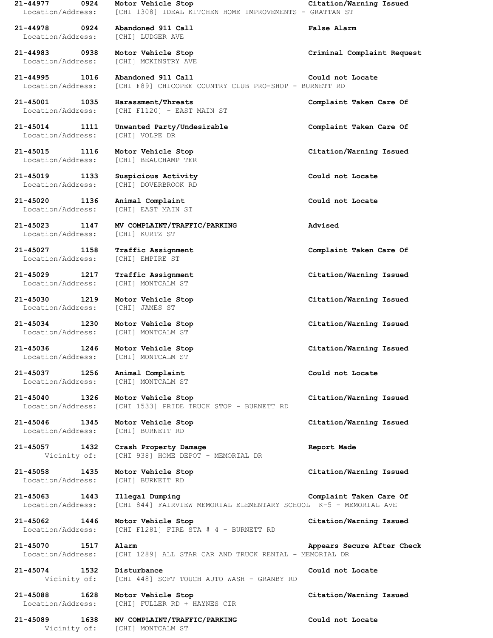**21-44977 0924 Motor Vehicle Stop Citation/Warning Issued** Location/Address: [CHI 1308] IDEAL KITCHEN HOME IMPROVEMENTS - GRATTAN ST **21-44978 0924 Abandoned 911 Call False Alarm** Location/Address: [CHI] LUDGER AVE **21-44983 0938 Motor Vehicle Stop Criminal Complaint Request** Location/Address: [CHI] MCKINSTRY AVE **21-44995 1016 Abandoned 911 Call Could not Locate** Location/Address: [CHI F89] CHICOPEE COUNTRY CLUB PRO-SHOP - BURNETT RD **21-45001 1035 Harassment/Threats Complaint Taken Care Of** Location/Address: [CHI F1120] - EAST MAIN ST **21-45014 1111 Unwanted Party/Undesirable Complaint Taken Care Of** Location/Address: [CHI] VOLPE DR **21-45015 1116 Motor Vehicle Stop Citation/Warning Issued** Location/Address: [CHI] BEAUCHAMP TER **21-45019 1133 Suspicious Activity Could not Locate** Location/Address: [CHI] DOVERBROOK RD **21-45020 1136 Animal Complaint Could not Locate** Location/Address: [CHI] EAST MAIN ST **21-45023 1147 MV COMPLAINT/TRAFFIC/PARKING Advised** Location/Address: [CHI] KURTZ ST **21-45027 1158 Traffic Assignment Complaint Taken Care Of** Location/Address: [CHI] EMPIRE ST **21-45029 1217 Traffic Assignment Citation/Warning Issued** Location/Address: [CHI] MONTCALM ST **21-45030 1219 Motor Vehicle Stop Citation/Warning Issued** Location/Address: [CHI] JAMES ST **21-45034 1230 Motor Vehicle Stop Citation/Warning Issued** Location/Address: [CHI] MONTCALM ST **21-45036 1246 Motor Vehicle Stop Citation/Warning Issued** Location/Address: [CHI] MONTCALM ST **21-45037 1256 Animal Complaint Could not Locate** Location/Address: [CHI] MONTCALM ST **21-45040 1326 Motor Vehicle Stop Citation/Warning Issued** Location/Address: [CHI 1533] PRIDE TRUCK STOP - BURNETT RD **21-45046 1345 Motor Vehicle Stop Citation/Warning Issued** Location/Address: [CHI] BURNETT RD **21-45057 1432 Crash Property Damage Report Made** Vicinity of: [CHI 938] HOME DEPOT - MEMORIAL DR **21-45058 1435 Motor Vehicle Stop Citation/Warning Issued** Location/Address: [CHI] BURNETT RD **21-45063 1443 Illegal Dumping Complaint Taken Care Of** Location/Address: [CHI 844] FAIRVIEW MEMORIAL ELEMENTARY SCHOOL K-5 - MEMORIAL AVE **21-45062 1446 Motor Vehicle Stop Citation/Warning Issued** Location/Address: [CHI F1281] FIRE STA # 4 - BURNETT RD **21-45070 1517 Alarm Appears Secure After Check** Location/Address: [CHI 1289] ALL STAR CAR AND TRUCK RENTAL - MEMORIAL DR **21-45074 1532 Disturbance Could not Locate** Vicinity of: [CHI 448] SOFT TOUCH AUTO WASH - GRANBY RD **21-45088 1628 Motor Vehicle Stop Citation/Warning Issued** Location/Address: [CHI] FULLER RD + HAYNES CIR

**21-45089 1638 MV COMPLAINT/TRAFFIC/PARKING Could not Locate**

Vicinity of: [CHI] MONTCALM ST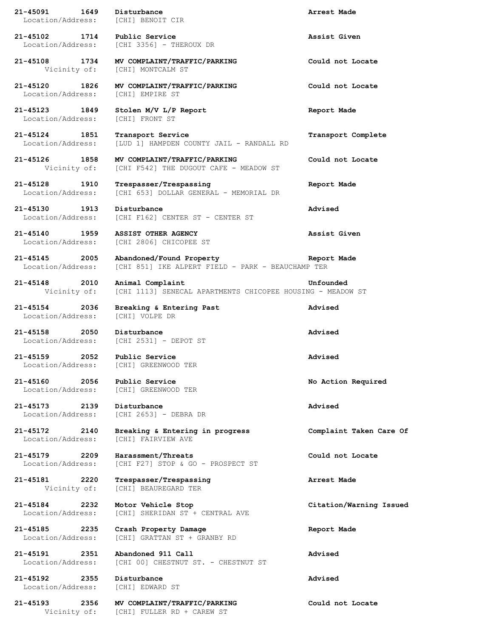**21-45091 1649 Disturbance Arrest Made** Location/Address: [CHI] BENOIT CIR **21-45102 1714 Public Service Assist Given** Location/Address: [CHI 3356] - THEROUX DR **21-45108 1734 MV COMPLAINT/TRAFFIC/PARKING Could not Locate** Vicinity of: [CHI] MONTCALM ST **21-45120 1826 MV COMPLAINT/TRAFFIC/PARKING Could not Locate** Location/Address: [CHI] EMPIRE ST **21-45123 1849 Stolen M/V L/P Report Report Made** Location/Address: [CHI] FRONT ST **21-45124 1851 Transport Service Transport Complete** Location/Address: [LUD 1] HAMPDEN COUNTY JAIL - RANDALL RD **21-45126 1858 MV COMPLAINT/TRAFFIC/PARKING Could not Locate** Vicinity of: [CHI F542] THE DUGOUT CAFE - MEADOW ST **21-45128 1910 Trespasser/Trespassing Report Made** Location/Address: [CHI 653] DOLLAR GENERAL - MEMORIAL DR **21-45130 1913 Disturbance Advised** Location/Address: [CHI F162] CENTER ST - CENTER ST **21-45140 1959 ASSIST OTHER AGENCY Assist Given** Location/Address: [CHI 2806] CHICOPEE ST **21-45145 2005 Abandoned/Found Property Report Made** Location/Address: [CHI 851] IKE ALPERT FIELD - PARK - BEAUCHAMP TER **21-45148 2010 Animal Complaint Unfounded** Vicinity of: [CHI 1113] SENECAL APARTMENTS CHICOPEE HOUSING - MEADOW ST **21-45154 2036 Breaking & Entering Past Advised** Location/Address: [CHI] VOLPE DR **21-45158 2050 Disturbance Advised** Location/Address: [CHI 2531] - DEPOT ST **21-45159 2052 Public Service Advised** Location/Address: [CHI] GREENWOOD TER **21-45160 2056 Public Service No Action Required** Location/Address: [CHI] GREENWOOD TER **21-45173 2139 Disturbance Advised** Location/Address: [CHI 2653] - DEBRA DR **21-45172 2140 Breaking & Entering in progress Complaint Taken Care Of** Location/Address: [CHI] FAIRVIEW AVE **21-45179 2209 Harassment/Threats Could not Locate** Location/Address: [CHI F27] STOP & GO - PROSPECT ST **21-45181 2220 Trespasser/Trespassing Arrest Made** Vicinity of: [CHI] BEAUREGARD TER **21-45184 2232 Motor Vehicle Stop Citation/Warning Issued** Location/Address: [CHI] SHERIDAN ST + CENTRAL AVE **21-45185 2235 Crash Property Damage Report Made** Location/Address: [CHI] GRATTAN ST + GRANBY RD **21-45191 2351 Abandoned 911 Call Advised** Location/Address: [CHI 00] CHESTNUT ST. - CHESTNUT ST **21-45192 2355 Disturbance Advised** Location/Address: [CHI] EDWARD ST **21-45193 2356 MV COMPLAINT/TRAFFIC/PARKING Could not Locate** Vicinity of: [CHI] FULLER RD + CAREW ST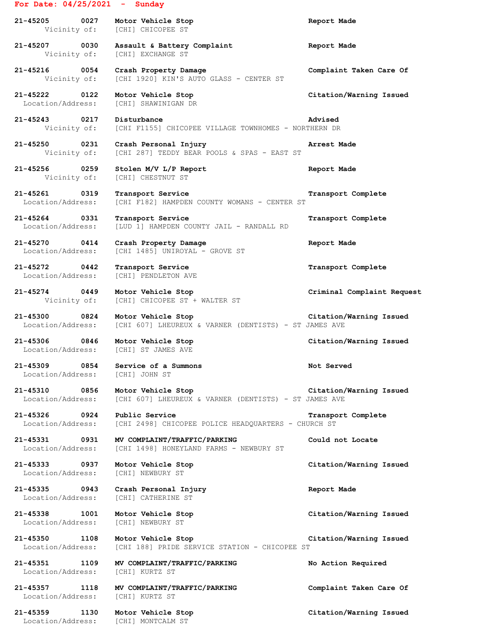## **For Date: 04/25/2021 - Sunday**

**21-45205 0027 Motor Vehicle Stop Report Made** Vicinity of: [CHI] CHICOPEE ST **21-45207 0030 Assault & Battery Complaint Report Made** Vicinity of: [CHI] EXCHANGE ST **21-45216 0054 Crash Property Damage Complaint Taken Care Of** Vicinity of: [CHI 1920] KIN'S AUTO GLASS - CENTER ST **21-45222 0122 Motor Vehicle Stop Citation/Warning Issued** Location/Address: [CHI] SHAWINIGAN DR **21-45243 0217 Disturbance Advised** Vicinity of: [CHI F1155] CHICOPEE VILLAGE TOWNHOMES - NORTHERN DR **21-45250 0231 Crash Personal Injury Arrest Made** Vicinity of: [CHI 287] TEDDY BEAR POOLS & SPAS - EAST ST **21-45256 0259 Stolen M/V L/P Report Report Made** Vicinity of: [CHI] CHESTNUT ST **21-45261 0319 Transport Service Transport Complete** Location/Address: [CHI F182] HAMPDEN COUNTY WOMANS - CENTER ST **21-45264 0331 Transport Service Transport Complete** Location/Address: [LUD 1] HAMPDEN COUNTY JAIL - RANDALL RD **21-45270 0414 Crash Property Damage Report Made** Location/Address: [CHI 1485] UNIROYAL - GROVE ST **21-45272 0442 Transport Service Transport Complete** Location/Address: [CHI] PENDLETON AVE **21-45274 0449 Motor Vehicle Stop Criminal Complaint Request** Vicinity of: [CHI] CHICOPEE ST + WALTER ST **21-45300 0824 Motor Vehicle Stop Citation/Warning Issued** Location/Address: [CHI 607] LHEUREUX & VARNER (DENTISTS) - ST JAMES AVE **21-45306 0846 Motor Vehicle Stop Citation/Warning Issued** Location/Address: [CHI] ST JAMES AVE **21-45309 0854 Service of a Summons Not Served** Location/Address: [CHI] JOHN ST **21-45310 0856 Motor Vehicle Stop Citation/Warning Issued** Location/Address: [CHI 607] LHEUREUX & VARNER (DENTISTS) - ST JAMES AVE **21-45326 0924 Public Service Transport Complete** Location/Address: [CHI 2498] CHICOPEE POLICE HEADQUARTERS - CHURCH ST **21-45331 0931 MV COMPLAINT/TRAFFIC/PARKING Could not Locate** Location/Address: [CHI 1498] HONEYLAND FARMS - NEWBURY ST **21-45333 0937 Motor Vehicle Stop Citation/Warning Issued** Location/Address: [CHI] NEWBURY ST **21-45335 0943 Crash Personal Injury Report Made** Location/Address: [CHI] CATHERINE ST **21-45338 1001 Motor Vehicle Stop Citation/Warning Issued** Location/Address: [CHI] NEWBURY ST **21-45350 1108 Motor Vehicle Stop Citation/Warning Issued** Location/Address: [CHI 188] PRIDE SERVICE STATION - CHICOPEE ST **21-45351 1109 MV COMPLAINT/TRAFFIC/PARKING No Action Required** Location/Address: [CHI] KURTZ ST **21-45357 1118 MV COMPLAINT/TRAFFIC/PARKING Complaint Taken Care Of** Location/Address: [CHI] KURTZ ST **21-45359 1130 Motor Vehicle Stop Citation/Warning Issued** Location/Address: [CHI] MONTCALM ST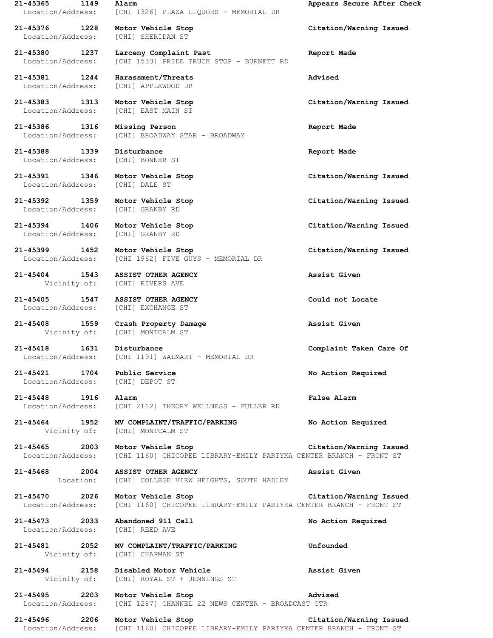**21-45365 1149 Alarm Appears Secure After Check** Location/Address: [CHI 1326] PLAZA LIQUORS - MEMORIAL DR

**21-45376 1228 Motor Vehicle Stop Citation/Warning Issued** Location/Address: [CHI] SHERIDAN ST

**21-45380 1237 Larceny Complaint Past Report Made** Location/Address: [CHI 1533] PRIDE TRUCK STOP - BURNETT RD

**21-45381 1244 Harassment/Threats Advised** Location/Address: [CHI] APPLEWOOD DR

Location/Address: [CHI] EAST MAIN ST

**21-45386 1316 Missing Person Report Made** Location/Address: [CHI] BROADWAY STAR - BROADWAY

**21-45388 1339 Disturbance Report Made** Location/Address: [CHI] BONNER ST

**21-45391 1346 Motor Vehicle Stop Citation/Warning Issued** Location/Address: [CHI] DALE ST

**21-45392 1359 Motor Vehicle Stop Citation/Warning Issued** Location/Address: [CHI] GRANBY RD

**21-45394 1406 Motor Vehicle Stop Citation/Warning Issued** Location/Address: [CHI] GRANBY RD

**21-45399 1452 Motor Vehicle Stop Citation/Warning Issued** Location/Address: [CHI 1962] FIVE GUYS - MEMORIAL DR

**21-45404 1543 ASSIST OTHER AGENCY Assist Given** Vicinity of: [CHI] RIVERS AVE

**21-45405 1547 ASSIST OTHER AGENCY Could not Locate** Location/Address: [CHI] EXCHANGE ST

**21-45408 1559 Crash Property Damage Assist Given** Vicinity of: [CHI] MONTCALM ST

**21-45418 1631 Disturbance Complaint Taken Care Of** Location/Address: [CHI 1191] WALMART - MEMORIAL DR

Location/Address: [CHI] DEPOT ST

**21-45448 1916 Alarm False Alarm** Location/Address: [CHI 2112] THEORY WELLNESS - FULLER RD

**21-45464 1952 MV COMPLAINT/TRAFFIC/PARKING No Action Required** Vicinity of: [CHI] MONTCALM ST

**21-45465 2003 Motor Vehicle Stop Citation/Warning Issued** Location/Address: [CHI 1160] CHICOPEE LIBRARY-EMILY PARTYKA CENTER BRANCH - FRONT ST

**21-45468 2004 ASSIST OTHER AGENCY Assist Given** Location: [CHI] COLLEGE VIEW HEIGHTS, SOUTH HADLEY

**21-45470 2026 Motor Vehicle Stop Citation/Warning Issued** Location/Address: [CHI 1160] CHICOPEE LIBRARY-EMILY PARTYKA CENTER BRANCH - FRONT ST

**21-45473 2033 Abandoned 911 Call No Action Required** Location/Address: [CHI] REED AVE

**21-45481 2052 MV COMPLAINT/TRAFFIC/PARKING Unfounded** Vicinity of: [CHI] CHAPMAN ST

**21-45494 2158 Disabled Motor Vehicle Assist Given** Vicinity of: [CHI] ROYAL ST + JENNINGS ST

**21-45495 2203 Motor Vehicle Stop Advised** Location/Address: [CHI 1287] CHANNEL 22 NEWS CENTER - BROADCAST CTR

**21-45496 2206 Motor Vehicle Stop Citation/Warning Issued** Location/Address: [CHI 1160] CHICOPEE LIBRARY-EMILY PARTYKA CENTER BRANCH - FRONT ST

**21-45383 1313 Motor Vehicle Stop Citation/Warning Issued**

**21-45421 1704 Public Service No Action Required**